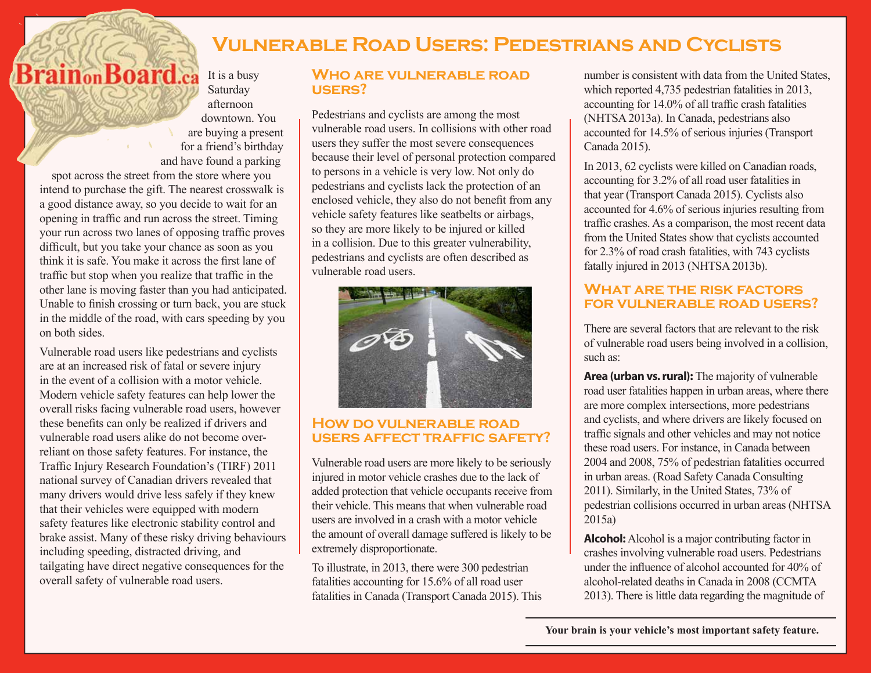# **Vulnerable Road Users: Pedestrians and Cyclists**

**BrainonBoard.ca** It is a busy Saturday afternoon downtown. You are buying a present for a friend's birthday and have found a parking

spot across the street from the store where you intend to purchase the gift. The nearest crosswalk is a good distance away, so you decide to wait for an opening in traffic and run across the street. Timing your run across two lanes of opposing traffic proves difficult, but you take your chance as soon as you think it is safe. You make it across the first lane of traffic but stop when you realize that traffic in the other lane is moving faster than you had anticipated. Unable to finish crossing or turn back, you are stuck in the middle of the road, with cars speeding by you on both sides.

Vulnerable road users like pedestrians and cyclists are at an increased risk of fatal or severe injury in the event of a collision with a motor vehicle. Modern vehicle safety features can help lower the overall risks facing vulnerable road users, however these benefits can only be realized if drivers and vulnerable road users alike do not become overreliant on those safety features. For instance, the Traffic Injury Research Foundation's (TIRF) 2011 national survey of Canadian drivers revealed that many drivers would drive less safely if they knew that their vehicles were equipped with modern safety features like electronic stability control and brake assist. Many of these risky driving behaviours including speeding, distracted driving, and tailgating have direct negative consequences for the overall safety of vulnerable road users.

## **Who are vulnerable road users?**

Pedestrians and cyclists are among the most vulnerable road users. In collisions with other road users they suffer the most severe consequences because their level of personal protection compared to persons in a vehicle is very low. Not only do pedestrians and cyclists lack the protection of an enclosed vehicle, they also do not benefit from any vehicle safety features like seatbelts or airbags, so they are more likely to be injured or killed in a collision. Due to this greater vulnerability, pedestrians and cyclists are often described as vulnerable road users.



## **How do vulnerable road users affect traffic safety?**

Vulnerable road users are more likely to be seriously injured in motor vehicle crashes due to the lack of added protection that vehicle occupants receive from their vehicle. This means that when vulnerable road users are involved in a crash with a motor vehicle the amount of overall damage suffered is likely to be extremely disproportionate.

To illustrate, in 2013, there were 300 pedestrian fatalities accounting for 15.6% of all road user fatalities in Canada (Transport Canada 2015). This

number is consistent with data from the United States, which reported 4,735 pedestrian fatalities in 2013, accounting for 14.0% of all traffic crash fatalities (NHTSA 2013a). In Canada, pedestrians also accounted for 14.5% of serious injuries (Transport Canada 2015).

In 2013, 62 cyclists were killed on Canadian roads, accounting for 3.2% of all road user fatalities in that year (Transport Canada 2015). Cyclists also accounted for 4.6% of serious injuries resulting from traffic crashes. As a comparison, the most recent data from the United States show that cyclists accounted for 2.3% of road crash fatalities, with 743 cyclists fatally injured in 2013 (NHTSA 2013b).

## **What are the risk factors for vulnerable road users?**

There are several factors that are relevant to the risk of vulnerable road users being involved in a collision, such as:

**Area (urban vs. rural):** The majority of vulnerable road user fatalities happen in urban areas, where there are more complex intersections, more pedestrians and cyclists, and where drivers are likely focused on traffic signals and other vehicles and may not notice these road users. For instance, in Canada between 2004 and 2008, 75% of pedestrian fatalities occurred in urban areas. (Road Safety Canada Consulting 2011). Similarly, in the United States, 73% of pedestrian collisions occurred in urban areas (NHTSA 2015a)

**Alcohol:** Alcohol is a major contributing factor in crashes involving vulnerable road users. Pedestrians under the influence of alcohol accounted for 40% of alcohol-related deaths in Canada in 2008 (CCMTA 2013). There is little data regarding the magnitude of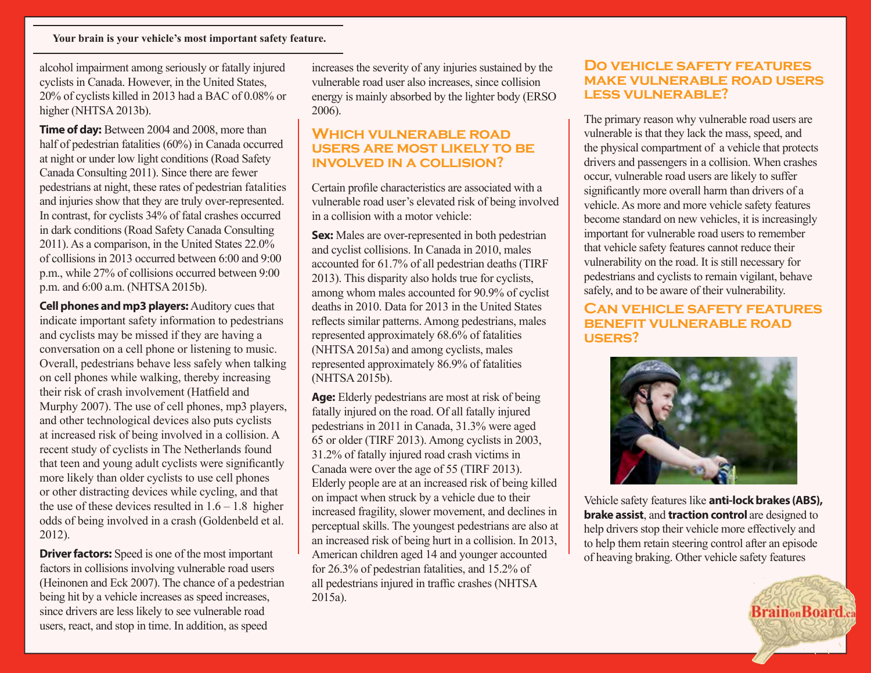alcohol impairment among seriously or fatally injured cyclists in Canada. However, in the United States, 20% of cyclists killed in 2013 had a BAC of 0.08% or higher (NHTSA 2013b).

**Time of day:** Between 2004 and 2008, more than half of pedestrian fatalities (60%) in Canada occurred at night or under low light conditions (Road Safety Canada Consulting 2011). Since there are fewer pedestrians at night, these rates of pedestrian fatalities and injuries show that they are truly over-represented. In contrast, for cyclists 34% of fatal crashes occurred in dark conditions (Road Safety Canada Consulting 2011). As a comparison, in the United States 22.0% of collisions in 2013 occurred between 6:00 and 9:00 p.m., while 27% of collisions occurred between 9:00 p.m. and 6:00 a.m. (NHTSA 2015b).

**Cell phones and mp3 players:** Auditory cues that indicate important safety information to pedestrians and cyclists may be missed if they are having a conversation on a cell phone or listening to music. Overall, pedestrians behave less safely when talking on cell phones while walking, thereby increasing their risk of crash involvement (Hatfield and Murphy 2007). The use of cell phones, mp3 players, and other technological devices also puts cyclists at increased risk of being involved in a collision. A recent study of cyclists in The Netherlands found that teen and young adult cyclists were significantly more likely than older cyclists to use cell phones or other distracting devices while cycling, and that the use of these devices resulted in  $1.6 - 1.8$  higher odds of being involved in a crash (Goldenbeld et al. 2012).

**Driver factors:** Speed is one of the most important factors in collisions involving vulnerable road users (Heinonen and Eck 2007). The chance of a pedestrian being hit by a vehicle increases as speed increases, since drivers are less likely to see vulnerable road users, react, and stop in time. In addition, as speed

increases the severity of any injuries sustained by the vulnerable road user also increases, since collision energy is mainly absorbed by the lighter body (ERSO 2006).

## **Which vulnerable road users are most likely to be involved in a collision?**

Certain profile characteristics are associated with a vulnerable road user's elevated risk of being involved in a collision with a motor vehicle:

**Sex:** Males are over-represented in both pedestrian and cyclist collisions. In Canada in 2010, males accounted for 61.7% of all pedestrian deaths (TIRF 2013). This disparity also holds true for cyclists, among whom males accounted for 90.9% of cyclist deaths in 2010. Data for 2013 in the United States reflects similar patterns. Among pedestrians, males represented approximately 68.6% of fatalities (NHTSA 2015a) and among cyclists, males represented approximately 86.9% of fatalities (NHTSA 2015b).

**Age:** Elderly pedestrians are most at risk of being fatally injured on the road. Of all fatally injured pedestrians in 2011 in Canada, 31.3% were aged 65 or older (TIRF 2013). Among cyclists in 2003, 31.2% of fatally injured road crash victims in Canada were over the age of 55 (TIRF 2013). Elderly people are at an increased risk of being killed on impact when struck by a vehicle due to their increased fragility, slower movement, and declines in perceptual skills. The youngest pedestrians are also at an increased risk of being hurt in a collision. In 2013, American children aged 14 and younger accounted for 26.3% of pedestrian fatalities, and 15.2% of all pedestrians injured in traffic crashes (NHTSA 2015a).

### **Do vehicle safety features make vulnerable road users less vulnerable?**

The primary reason why vulnerable road users are vulnerable is that they lack the mass, speed, and the physical compartment of a vehicle that protects drivers and passengers in a collision. When crashes occur, vulnerable road users are likely to suffer significantly more overall harm than drivers of a vehicle. As more and more vehicle safety features become standard on new vehicles, it is increasingly important for vulnerable road users to remember that vehicle safety features cannot reduce their vulnerability on the road. It is still necessary for pedestrians and cyclists to remain vigilant, behave safely, and to be aware of their vulnerability.

#### **Can vehicle safety features benefit vulnerable road users?**



Vehicle safety features like **anti-lock brakes (ABS), brake assist**, and **traction control** are designed to help drivers stop their vehicle more effectively and to help them retain steering control after an episode of heaving braking. Other vehicle safety features

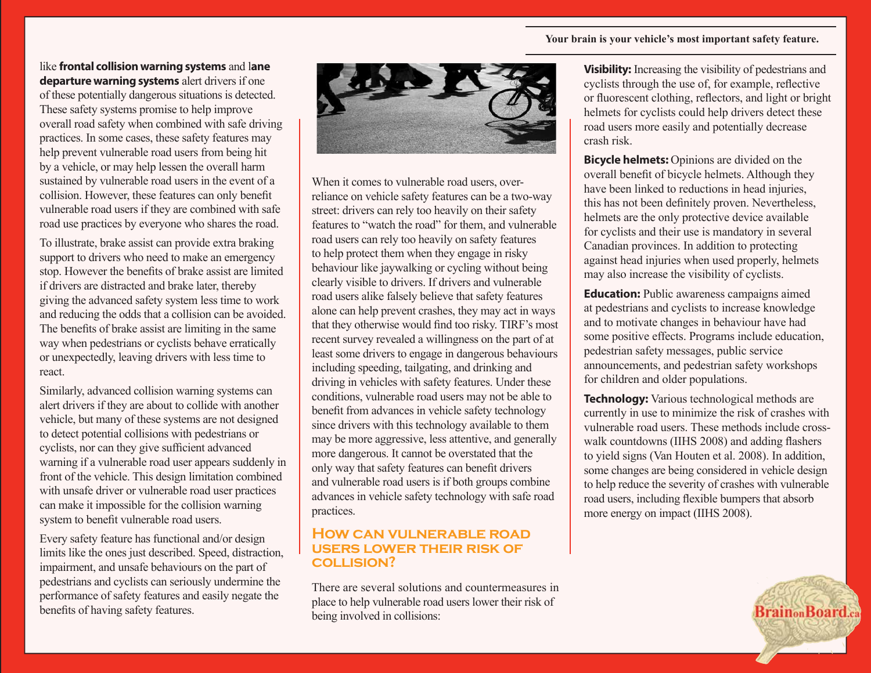#### **Your brain is your vehicle's most important safety feature.**

like **frontal collision warning systems** and l**ane departure warning systems** alert drivers if one of these potentially dangerous situations is detected. These safety systems promise to help improve overall road safety when combined with safe driving practices. In some cases, these safety features may help prevent vulnerable road users from being hit by a vehicle, or may help lessen the overall harm sustained by vulnerable road users in the event of a collision. However, these features can only benefit vulnerable road users if they are combined with safe road use practices by everyone who shares the road.

To illustrate, brake assist can provide extra braking support to drivers who need to make an emergency stop. However the benefits of brake assist are limited if drivers are distracted and brake later, thereby giving the advanced safety system less time to work and reducing the odds that a collision can be avoided. The benefits of brake assist are limiting in the same way when pedestrians or cyclists behave erratically or unexpectedly, leaving drivers with less time to react.

Similarly, advanced collision warning systems can alert drivers if they are about to collide with another vehicle, but many of these systems are not designed to detect potential collisions with pedestrians or cyclists, nor can they give sufficient advanced warning if a vulnerable road user appears suddenly in front of the vehicle. This design limitation combined with unsafe driver or vulnerable road user practices can make it impossible for the collision warning system to benefit vulnerable road users.

Every safety feature has functional and/or design limits like the ones just described. Speed, distraction, impairment, and unsafe behaviours on the part of pedestrians and cyclists can seriously undermine the performance of safety features and easily negate the benefits of having safety features.



When it comes to vulnerable road users, overreliance on vehicle safety features can be a two-way street: drivers can rely too heavily on their safety features to "watch the road" for them, and vulnerable road users can rely too heavily on safety features to help protect them when they engage in risky behaviour like jaywalking or cycling without being clearly visible to drivers. If drivers and vulnerable road users alike falsely believe that safety features alone can help prevent crashes, they may act in ways that they otherwise would find too risky. TIRF's most recent survey revealed a willingness on the part of at least some drivers to engage in dangerous behaviours including speeding, tailgating, and drinking and driving in vehicles with safety features. Under these conditions, vulnerable road users may not be able to benefit from advances in vehicle safety technology since drivers with this technology available to them may be more aggressive, less attentive, and generally more dangerous. It cannot be overstated that the only way that safety features can benefit drivers and vulnerable road users is if both groups combine advances in vehicle safety technology with safe road practices.

#### **How can vulnerable road users lower their risk of collision?**

There are several solutions and countermeasures in place to help vulnerable road users lower their risk of being involved in collisions:

**Visibility:** Increasing the visibility of pedestrians and cyclists through the use of, for example, reflective or fluorescent clothing, reflectors, and light or bright helmets for cyclists could help drivers detect these road users more easily and potentially decrease crash risk.

**Bicycle helmets:** Opinions are divided on the overall benefit of bicycle helmets. Although they have been linked to reductions in head injuries, this has not been definitely proven. Nevertheless, helmets are the only protective device available for cyclists and their use is mandatory in several Canadian provinces. In addition to protecting against head injuries when used properly, helmets may also increase the visibility of cyclists.

**Education:** Public awareness campaigns aimed at pedestrians and cyclists to increase knowledge and to motivate changes in behaviour have had some positive effects. Programs include education, pedestrian safety messages, public service announcements, and pedestrian safety workshops for children and older populations.

**Technology:** Various technological methods are currently in use to minimize the risk of crashes with vulnerable road users. These methods include crosswalk countdowns (IIHS 2008) and adding flashers to yield signs (Van Houten et al. 2008). In addition, some changes are being considered in vehicle design to help reduce the severity of crashes with vulnerable road users, including flexible bumpers that absorb more energy on impact (IIHS 2008).